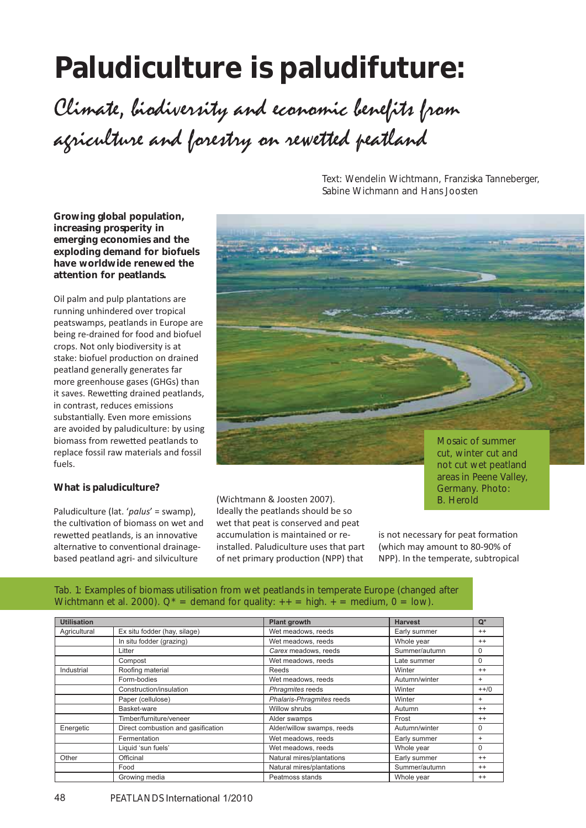# **Paludiculture is paludifuture:** Climate, liodiversity and economic lenefits from agriculture and forestry on rewetted peatland

**Growing global population, increasing prosperity in emerging economies and the exploding demand for biofuels have worldwide renewed the attention for peatlands.** 

Oil palm and pulp plantations are running unhindered over tropical peatswamps, peatlands in Europe are being re-drained for food and biofuel crops. Not only biodiversity is at stake: biofuel production on drained peatland generally generates far more greenhouse gases (GHGs) than it saves. Rewetting drained peatlands, in contrast, reduces emissions substantially. Even more emissions are avoided by paludiculture: by using biomass from rewetted peatlands to replace fossil raw materials and fossil fuels.

## **What is paludiculture?**

Paludiculture (lat. '*palus*' = swamp), the cultivation of biomass on wet and rewetted peatlands, is an innovative alternative to conventional drainagebased peatland agri- and silviculture

(Wichtmann & Joosten 2007). Ideally the peatlands should be so wet that peat is conserved and peat accumulation is maintained or reinstalled. Paludiculture uses that part of net primary production (NPP) that

Text: Wendelin Wichtmann, Franziska Tanneberger, Sabine Wichmann and Hans Joosten

# is not necessary for peat formation (which may amount to 80-90% of NPP). In the temperate, subtropical

areas in Peene Valley, Germany. Photo: B. Herold

## Tab. 1: Examples of biomass utilisation from wet peatlands in temperate Europe (changed after Wichtmann et al. 2000).  $Q^*$  = demand for quality:  $++$  = high.  $+$  = medium, 0 = low).

| <b>Utilisation</b> |                                    |                            |                |           |
|--------------------|------------------------------------|----------------------------|----------------|-----------|
|                    |                                    | <b>Plant growth</b>        | <b>Harvest</b> | $Q^*$     |
| Agricultural       | Ex situ fodder (hay, silage)       | Wet meadows, reeds         | Early summer   | $^{++}$   |
|                    | In situ fodder (grazing)           | Wet meadows, reeds         | Whole year     | $^{++}$   |
|                    | Litter                             | Carex meadows, reeds       | Summer/autumn  |           |
|                    | Compost                            | Wet meadows, reeds         | Late summer    | $\Omega$  |
| Industrial         | Roofing material                   | Reeds                      | Winter         | $^{++}$   |
|                    | Form-bodies                        | Wet meadows, reeds         | Autumn/winter  | $+$       |
|                    | Construction/insulation            | Phragmites reeds           | Winter         | $++/-0$   |
|                    | Paper (cellulose)                  | Phalaris-Phragmites reeds  | Winter         | $+$       |
|                    | Basket-ware                        | Willow shrubs              | Autumn         | $^{++}$   |
|                    | Timber/furniture/veneer            | Alder swamps               | Frost          | $^{++}$   |
| Energetic          | Direct combustion and gasification | Alder/willow swamps, reeds | Autumn/winter  | $\Omega$  |
|                    | Fermentation                       | Wet meadows, reeds         | Early summer   | $\ddot{}$ |
|                    | Liquid 'sun fuels'                 | Wet meadows, reeds         | Whole year     | $\Omega$  |
| Other              | Officinal                          | Natural mires/plantations  | Early summer   | $^{++}$   |
|                    | Food                               | Natural mires/plantations  | Summer/autumn  | $^{++}$   |
|                    | Growing media                      | Peatmoss stands            | Whole year     | $^{++}$   |

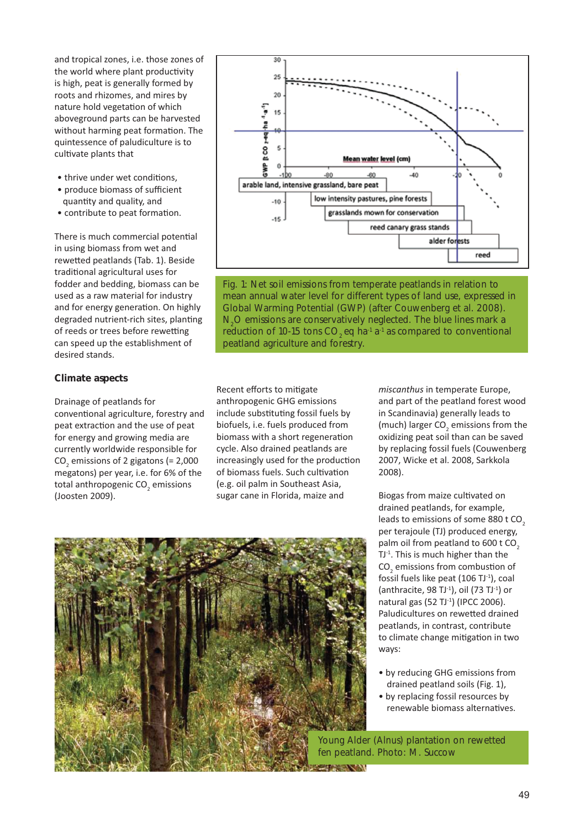and tropical zones, i.e. those zones of the world where plant productivity is high, peat is generally formed by roots and rhizomes, and mires by nature hold vegetation of which aboveground parts can be harvested without harming peat formation. The quintessence of paludiculture is to cultivate plants that

- thrive under wet conditions,
- produce biomass of sufficient quantity and quality, and
- contribute to peat formation.

There is much commercial potential in using biomass from wet and rewetted peatlands (Tab. 1). Beside traditional agricultural uses for fodder and bedding, biomass can be used as a raw material for industry and for energy generation. On highly degraded nutrient-rich sites, planting of reeds or trees before rewetting can speed up the establishment of desired stands.

## **Climate aspects**

Drainage of peatlands for conventional agriculture, forestry and peat extraction and the use of peat for energy and growing media are currently worldwide responsible for  $CO<sub>2</sub>$  emissions of 2 gigatons (= 2,000 megatons) per year, i.e. for 6% of the total anthropogenic CO<sub>2</sub> emissions (Joosten 2009).



Fig. 1: Net soil emissions from temperate peatlands in relation to mean annual water level for different types of land use, expressed in Global Warming Potential (GWP) (after Couwenberg et al. 2008).  $N_2$ O emissions are conservatively neglected. The blue lines mark a reduction of 10-15 tons  $CO<sub>2</sub>$  eq ha<sup>-1</sup> a<sup>-1</sup> as compared to conventional peatland agriculture and forestry.

Recent efforts to mitigate anthropogenic GHG emissions include substituting fossil fuels by biofuels, i.e. fuels produced from biomass with a short regeneration cycle. Also drained peatlands are increasingly used for the production of biomass fuels. Such cultivation (e.g. oil palm in Southeast Asia, sugar cane in Florida, maize and

*miscanthus* in temperate Europe, and part of the peatland forest wood in Scandinavia) generally leads to (much) larger  $CO<sub>2</sub>$  emissions from the oxidizing peat soil than can be saved by replacing fossil fuels (Couwenberg 2007, Wicke et al. 2008, Sarkkola 2008).

Biogas from maize cultivated on drained peatlands, for example, leads to emissions of some 880 t CO<sub>2</sub> per terajoule (TJ) produced energy, palm oil from peatland to  $600$  t CO<sub>2</sub> TJ-1. This is much higher than the  $\mathsf{CO}_2$  emissions from combustion of fossil fuels like peat (106 TJ-1), coal (anthracite, 98 TJ $-1$ ), oil (73 TJ $-1$ ) or natural gas (52 TJ-1) (IPCC 2006). Paludicultures on rewetted drained peatlands, in contrast, contribute to climate change mitigation in two ways:

- by reducing GHG emissions from drained peatland soils (Fig. 1),
- by replacing fossil resources by renewable biomass alternatives.

Young Alder (*Alnus*) plantation on rewetted fen peatland. Photo: M. Succow

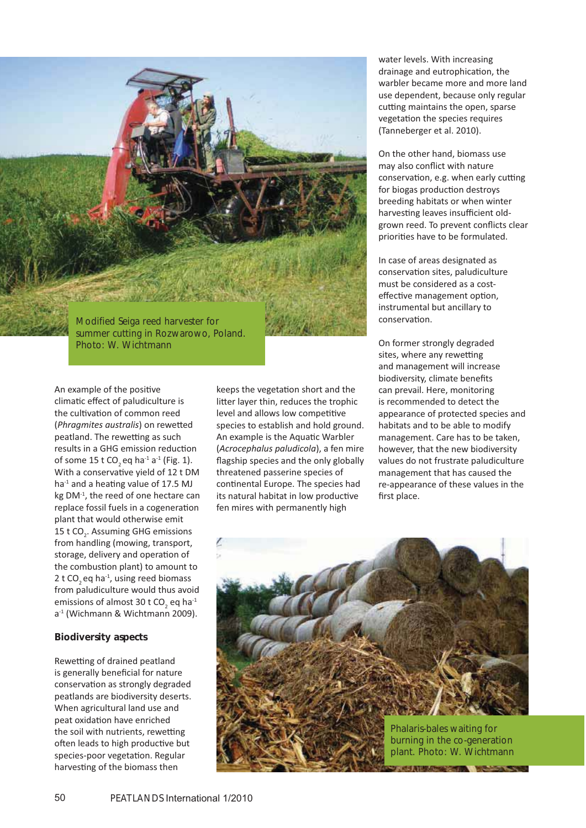

An example of the positive climatic effect of paludiculture is the cultivation of common reed (Phragmites australis) on rewetted peatland. The rewetting as such results in a GHG emission reduction of some 15 t CO<sub>2</sub> eq ha<sup>-1</sup> a<sup>-1</sup> (Fig. 1). With a conservative yield of 12 t DM ha<sup>-1</sup> and a heating value of 17.5 MJ kg DM<sup>-1</sup>, the reed of one hectare can replace fossil fuels in a cogeneration plant that would otherwise emit 15 t CO<sub>2</sub>. Assuming GHG emissions from handling (mowing, transport, storage, delivery and operation of the combustion plant) to amount to 2 t CO<sub>2</sub> eq ha<sup>-1</sup>, using reed biomass from paludiculture would thus avoid emissions of almost 30 t CO<sub>2</sub> eq ha<sup>-1</sup> a-1 (Wichmann & Wichtmann 2009).

#### **Biodiversity aspects**

Rewetting of drained peatland is generally beneficial for nature conservation as strongly degraded peatlands are biodiversity deserts. When agricultural land use and peat oxidation have enriched the soil with nutrients, rewetting often leads to high productive but species-poor vegetation. Regular harvesting of the biomass then

keeps the vegetation short and the litter layer thin, reduces the trophic level and allows low competitive species to establish and hold ground. An example is the Aquatic Warbler (*Acrocephalus paludicola*), a fen mire flagship species and the only globally threatened passerine species of continental Europe. The species had its natural habitat in low productive fen mires with permanently high

water levels. With increasing drainage and eutrophication, the warbler became more and more land use dependent, because only regular cutting maintains the open, sparse vegetation the species requires (Tanneberger et al. 2010).

On the other hand, biomass use may also conflict with nature conservation, e.g. when early cutting for biogas production destroys breeding habitats or when winter harvesting leaves insufficient oldgrown reed. To prevent conflicts clear priorities have to be formulated.

In case of areas designated as conservation sites, paludiculture must be considered as a costeffective management option, instrumental but ancillary to conservation.

On former strongly degraded sites, where any rewetting and management will increase biodiversity, climate benefits can prevail. Here, monitoring is recommended to detect the appearance of protected species and habitats and to be able to modify management. Care has to be taken, however, that the new biodiversity values do not frustrate paludiculture management that has caused the re-appearance of these values in the first place.